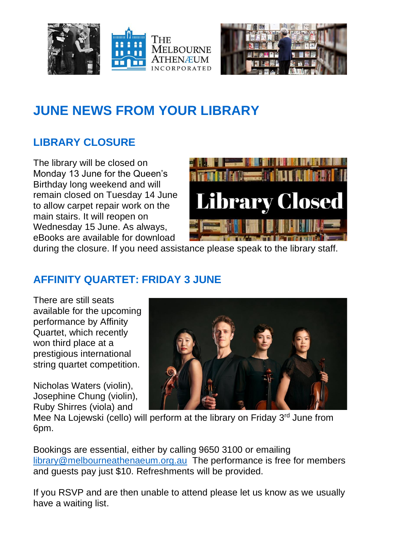



# **JUNE NEWS FROM YOUR LIBRARY**

## **LIBRARY CLOSURE**

The library will be closed on Monday 13 June for the Queen's Birthday long weekend and will remain closed on Tuesday 14 June to allow carpet repair work on the main stairs. It will reopen on Wednesday 15 June. As always, eBooks are available for download



during the closure. If you need assistance please speak to the library staff.

## **AFFINITY QUARTET: FRIDAY 3 JUNE**

There are still seats available for the upcoming performance by Affinity Quartet, which recently won third place at a prestigious international string quartet competition.

Nicholas Waters (violin), Josephine Chung (violin), Ruby Shirres (viola) and



Mee Na Lojewski (cello) will perform at the library on Friday 3<sup>rd</sup> June from 6pm.

Bookings are essential, either by calling 9650 3100 or emailing [library@melbourneathenaeum.org.au](mailto:library@melbourneathenaeum.org.au) The performance is free for members and guests pay just \$10. Refreshments will be provided.

If you RSVP and are then unable to attend please let us know as we usually have a waiting list.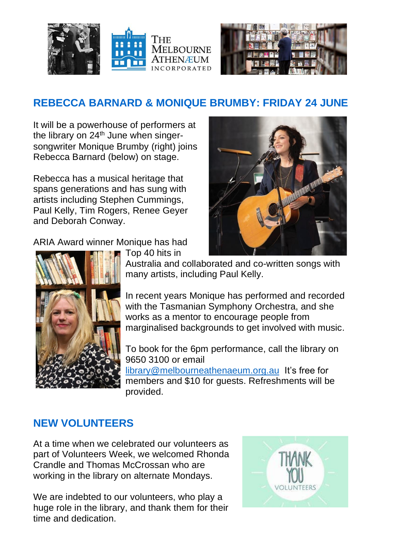



## **REBECCA BARNARD & MONIQUE BRUMBY: FRIDAY 24 JUNE**

It will be a powerhouse of performers at the library on  $24<sup>th</sup>$  June when singersongwriter Monique Brumby (right) joins Rebecca Barnard (below) on stage.

Rebecca has a musical heritage that spans generations and has sung with artists including Stephen Cummings, Paul Kelly, Tim Rogers, Renee Geyer and Deborah Conway.

ARIA Award winner Monique has had



Top 40 hits in Australia and collaborated and co-written songs with many artists, including Paul Kelly.

In recent years Monique has performed and recorded with the Tasmanian Symphony Orchestra, and she works as a mentor to encourage people from marginalised backgrounds to get involved with music.

To book for the 6pm performance, call the library on 9650 3100 or email

[library@melbourneathenaeum.org.au](mailto:library@melbourneathenaeum.org.au) It's free for members and \$10 for quests. Refreshments will be provided.

#### **NEW VOLUNTEERS**

At a time when we celebrated our volunteers as part of Volunteers Week, we welcomed Rhonda Crandle and Thomas McCrossan who are working in the library on alternate Mondays.

We are indebted to our volunteers, who play a huge role in the library, and thank them for their time and dedication.



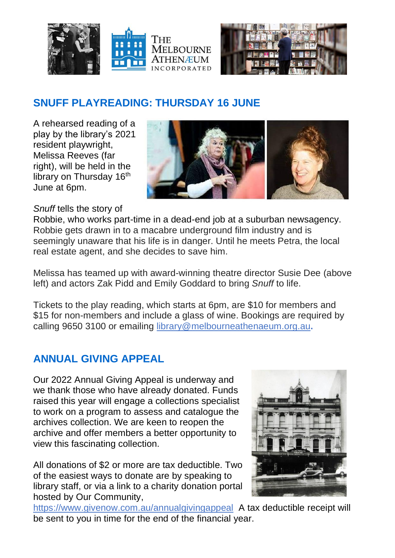



### **SNUFF PLAYREADING: THURSDAY 16 JUNE**

A rehearsed reading of a play by the library's 2021 resident playwright, Melissa Reeves (far right), will be held in the library on Thursday 16<sup>th</sup> June at 6pm.



#### *Snuff* tells the story of

Robbie, who works part-time in a dead-end job at a suburban newsagency. Robbie gets drawn in to a macabre underground film industry and is seemingly unaware that his life is in danger. Until he meets Petra, the local real estate agent, and she decides to save him.

Melissa has teamed up with award-winning theatre director Susie Dee (above left) and actors Zak Pidd and Emily Goddard to bring *Snuff* to life.

Tickets to the play reading, which starts at 6pm, are \$10 for members and \$15 for non-members and include a glass of wine. Bookings are required by calling 9650 3100 or emailing [library@melbourneathenaeum.org.au](mailto:library@melbourneathenaeum.org.au)**.**

#### **ANNUAL GIVING APPEAL**

Our 2022 Annual Giving Appeal is underway and we thank those who have already donated. Funds raised this year will engage a collections specialist to work on a program to assess and catalogue the archives collection. We are keen to reopen the archive and offer members a better opportunity to view this fascinating collection.

All donations of \$2 or more are tax deductible. Two of the easiest ways to donate are by speaking to library staff, or via a link to a charity donation portal hosted by Our Community,



[https://www.givenow.com.au/annualgivingappeal](https://melbourneathenaeum.us2.list-manage.com/track/click?u=f6b2cfb5d94dc8bc64a3b813c&id=4787fb2005&e=175ba18c2e) A tax deductible receipt will be sent to you in time for the end of the financial year.